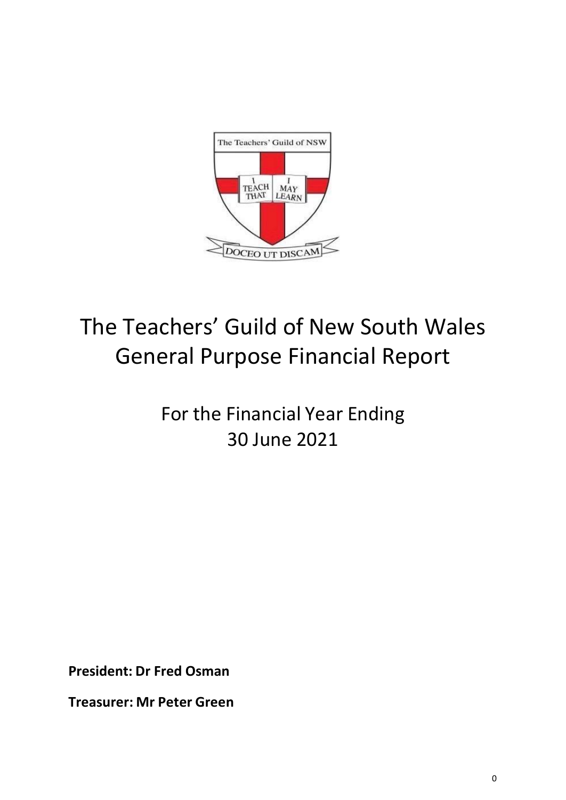

# The Teachers' Guild of New South Wales General Purpose Financial Report

# For the Financial Year Ending 30 June 2021

**President: Dr Fred Osman**

**Treasurer: Mr Peter Green**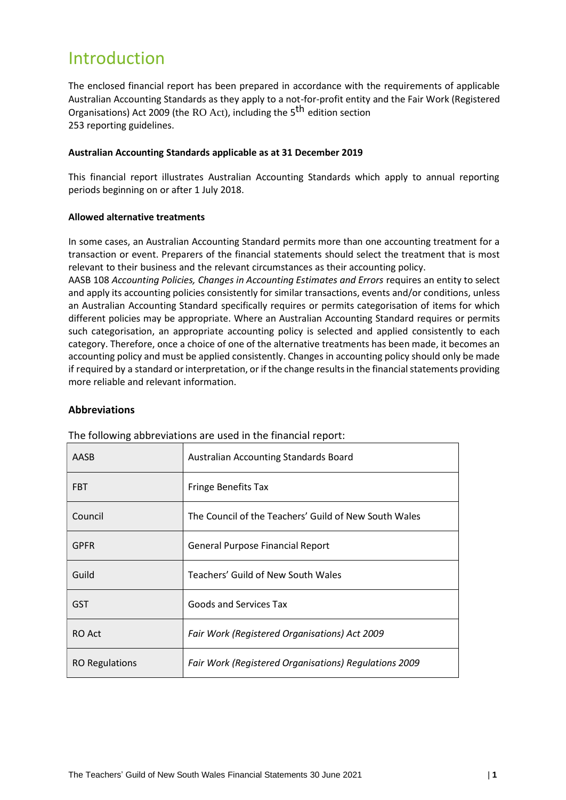# Introduction

The enclosed financial report has been prepared in accordance with the requirements of applicable Australian Accounting Standards as they apply to a not-for-profit entity and the Fair Work (Registered Organisations) Act 2009 (the RO Act), including the 5<sup>th</sup> edition section 253 reporting guidelines.

# **Australian Accounting Standards applicable as at 31 December 2019**

This financial report illustrates Australian Accounting Standards which apply to annual reporting periods beginning on or after 1 July 2018.

# **Allowed alternative treatments**

In some cases, an Australian Accounting Standard permits more than one accounting treatment for a transaction or event. Preparers of the financial statements should select the treatment that is most relevant to their business and the relevant circumstances as their accounting policy.

AASB 108 *Accounting Policies, Changes in Accounting Estimates and Errors* requires an entity to select and apply its accounting policies consistently for similar transactions, events and/or conditions, unless an Australian Accounting Standard specifically requires or permits categorisation of items for which different policies may be appropriate. Where an Australian Accounting Standard requires or permits such categorisation, an appropriate accounting policy is selected and applied consistently to each category. Therefore, once a choice of one of the alternative treatments has been made, it becomes an accounting policy and must be applied consistently. Changes in accounting policy should only be made if required by a standard or interpretation, or if the change results in the financial statements providing more reliable and relevant information.

# **Abbreviations**

| AASB                  | Australian Accounting Standards Board                 |
|-----------------------|-------------------------------------------------------|
| <b>FBT</b>            | <b>Fringe Benefits Tax</b>                            |
| Council               | The Council of the Teachers' Guild of New South Wales |
| <b>GPFR</b>           | <b>General Purpose Financial Report</b>               |
| Guild                 | Teachers' Guild of New South Wales                    |
| <b>GST</b>            | Goods and Services Tax                                |
| RO Act                | Fair Work (Registered Organisations) Act 2009         |
| <b>RO Regulations</b> | Fair Work (Registered Organisations) Regulations 2009 |

The following abbreviations are used in the financial report: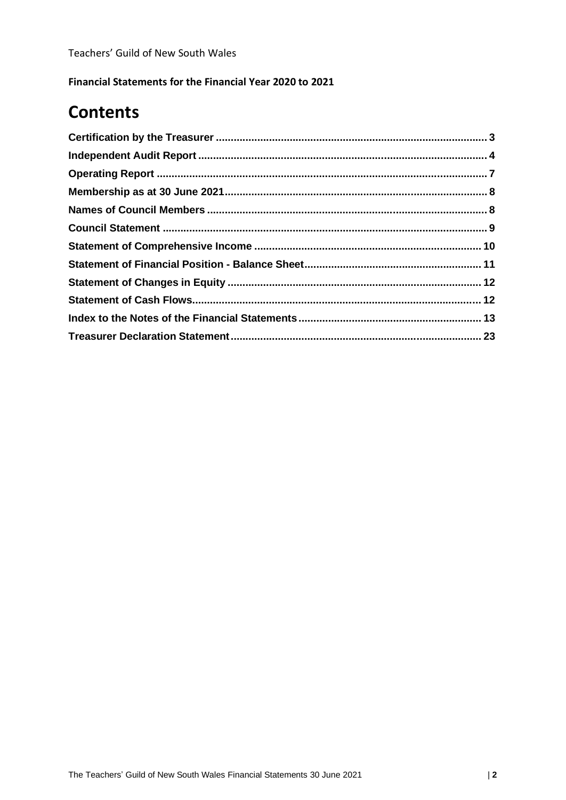**Financial Statements for the Financial Year 2020 to 2021**

# **Contents**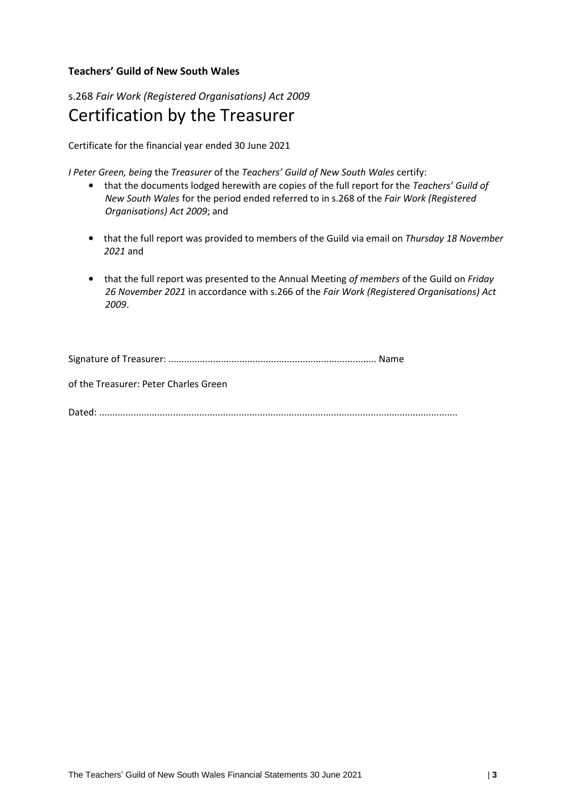# **Teachers' Guild of New South Wales**

# s.268 *Fair Work (Registered Organisations) Act 2009* Certification by the Treasurer

Certificate for the financial year ended 30 June 2021

*I Peter Green, being* the *Treasurer* of the *Teachers' Guild of New South Wales* certify:

- that the documents lodged herewith are copies of the full report for the *Teachers' Guild of New South Wales* for the period ended referred to in s.268 of the *Fair Work (Registered Organisations) Act 2009*; and
- that the full report was provided to members of the Guild via email on *Thursday 18 November 2021* and
- that the full report was presented to the Annual Meeting *of members* of the Guild on *Friday 26 November 2021* in accordance with s.266 of the *Fair Work (Registered Organisations) Act 2009*.

Signature of Treasurer: ............................................................................... Name

of the Treasurer: Peter Charles Green

Dated: ........................................................................................................................................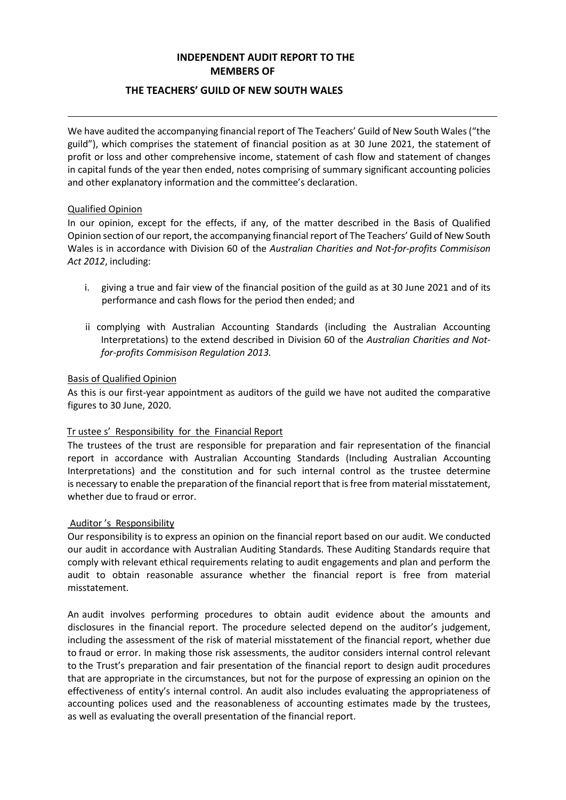# **INDEPENDENT AUDIT REPORT TO THE MEMBERS OF**

# **THE TEACHERS' GUILD OF NEW SOUTH WALES**

We have audited the accompanying financial report of The Teachers' Guild of New South Wales ("the guild"), which comprises the statement of financial position as at 30 June 2021, the statement of profit or loss and other comprehensive income, statement of cash flow and statement of changes in capital funds of the year then ended, notes comprising of summary significant accounting policies and other explanatory information and the committee's declaration.

# Qualified Opinion

In our opinion, except for the effects, if any, of the matter described in the Basis of Qualified Opinion section of our report, the accompanying financial report of The Teachers' Guild of New South Wales is in accordance with Division 60 of the *Australian Charities and Not-for-profits Commisison Act 2012*, including:

- i. giving a true and fair view of the financial position of the guild as at 30 June 2021 and of its performance and cash flows for the period then ended; and
- ii complying with Australian Accounting Standards (including the Australian Accounting Interpretations) to the extend described in Division 60 of the *Australian Charities and Notfor-profits Commisison Regulation 2013.*

# Basis of Qualified Opinion

As this is our first-year appointment as auditors of the guild we have not audited the comparative figures to 30 June, 2020.

# Tr ustee s' Responsibility for the Financial Report

The trustees of the trust are responsible for preparation and fair representation of the financial report in accordance with Australian Accounting Standards (Including Australian Accounting Interpretations) and the constitution and for such internal control as the trustee determine is necessary to enable the preparation of the financial report that is free from material misstatement, whether due to fraud or error.

# Auditor 's Responsibility

Our responsibility is to express an opinion on the financial report based on our audit. We conducted our audit in accordance with Australian Auditing Standards. These Auditing Standards require that comply with relevant ethical requirements relating to audit engagements and plan and perform the audit to obtain reasonable assurance whether the financial report is free from material misstatement.

An audit involves performing procedures to obtain audit evidence about the amounts and disclosures in the financial report. The procedure selected depend on the auditor's judgement, including the assessment of the risk of material misstatement of the financial report, whether due to fraud or error. In making those risk assessments, the auditor considers internal control relevant to the Trust's preparation and fair presentation of the financial report to design audit procedures that are appropriate in the circumstances, but not for the purpose of expressing an opinion on the effectiveness of entity's internal control. An audit also includes evaluating the appropriateness of accounting polices used and the reasonableness of accounting estimates made by the trustees, as well as evaluating the overall presentation of the financial report.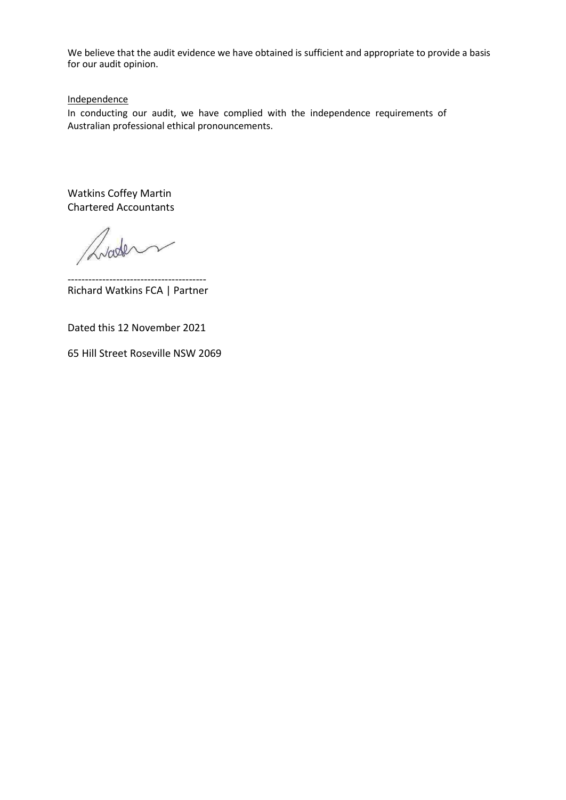We believe that the audit evidence we have obtained is sufficient and appropriate to provide a basis for our audit opinion.

**Independence** 

In conducting our audit, we have complied with the independence requirements of Australian professional ethical pronouncements.

Watkins Coffey Martin Chartered Accountants

Liade

---------------------------------------- Richard Watkins FCA | Partner

Dated this 12 November 2021

65 Hill Street Roseville NSW 2069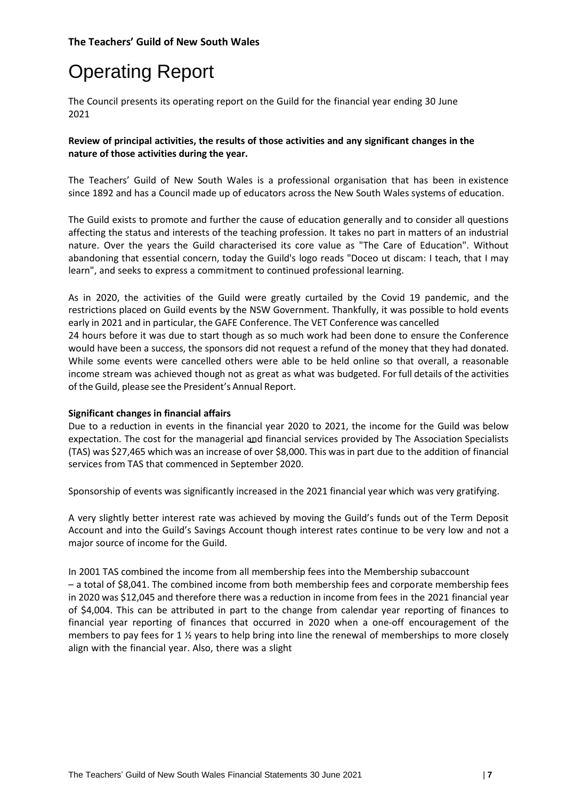# Operating Report

The Council presents its operating report on the Guild for the financial year ending 30 June 2021

# **Review of principal activities, the results of those activities and any significant changes in the nature of those activities during the year.**

The Teachers' Guild of New South Wales is a professional organisation that has been in existence since 1892 and has a Council made up of educators across the New South Wales systems of education.

The Guild exists to promote and further the cause of education generally and to consider all questions affecting the status and interests of the teaching profession. It takes no part in matters of an industrial nature. Over the years the Guild characterised its core value as "The Care of Education". Without abandoning that essential concern, today the Guild's logo reads "Doceo ut discam: I teach, that I may learn", and seeks to express a commitment to continued professional learning.

As in 2020, the activities of the Guild were greatly curtailed by the Covid 19 pandemic, and the restrictions placed on Guild events by the NSW Government. Thankfully, it was possible to hold events early in 2021 and in particular, the GAFE Conference. The VET Conference was cancelled 24 hours before it was due to start though as so much work had been done to ensure the Conference would have been a success, the sponsors did not request a refund of the money that they had donated. While some events were cancelled others were able to be held online so that overall, a reasonable income stream was achieved though not as great as what was budgeted. For full details of the activities of the Guild, please see the President's Annual Report.

# **Significant changes in financial affairs**

Due to a reduction in events in the financial year 2020 to 2021, the income for the Guild was below expectation. The cost for the managerial and financial services provided by The Association Specialists (TAS) was \$27,465 which was an increase of over \$8,000. This was in part due to the addition of financial services from TAS that commenced in September 2020.

Sponsorship of events was significantly increased in the 2021 financial year which was very gratifying.

A very slightly better interest rate was achieved by moving the Guild's funds out of the Term Deposit Account and into the Guild's Savings Account though interest rates continue to be very low and not a major source of income for the Guild.

In 2001 TAS combined the income from all membership fees into the Membership subaccount – a total of \$8,041. The combined income from both membership fees and corporate membership fees in 2020 was \$12,045 and therefore there was a reduction in income from fees in the 2021 financial year of \$4,004. This can be attributed in part to the change from calendar year reporting of finances to financial year reporting of finances that occurred in 2020 when a one-off encouragement of the members to pay fees for 1 % years to help bring into line the renewal of memberships to more closely align with the financial year. Also, there was a slight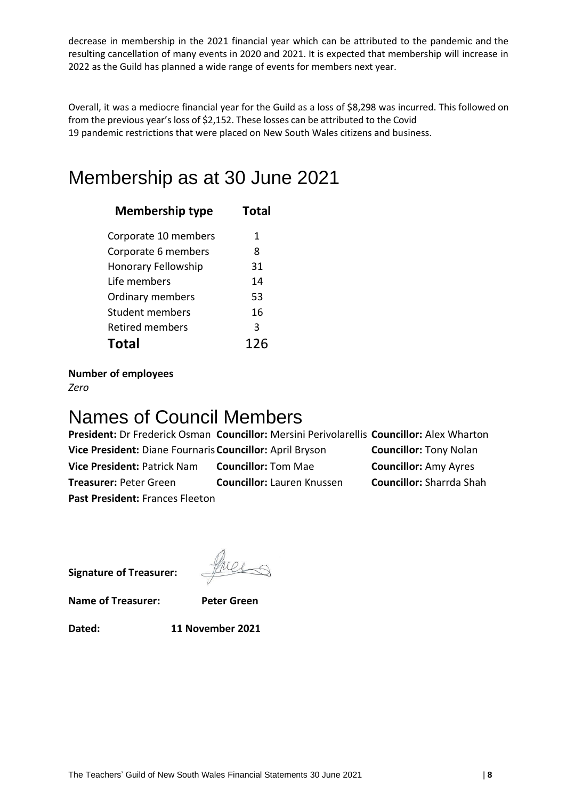decrease in membership in the 2021 financial year which can be attributed to the pandemic and the resulting cancellation of many events in 2020 and 2021. It is expected that membership will increase in 2022 as the Guild has planned a wide range of events for members next year.

Overall, it was a mediocre financial year for the Guild as a loss of \$8,298 was incurred. This followed on from the previous year's loss of \$2,152. These losses can be attributed to the Covid 19 pandemic restrictions that were placed on New South Wales citizens and business.

# Membership as at 30 June 2021

| <b>Membership type</b>     | Total |
|----------------------------|-------|
| Corporate 10 members       | 1     |
| Corporate 6 members        | 8     |
| <b>Honorary Fellowship</b> | 31    |
| Life members               | 14    |
| Ordinary members           | 53    |
| Student members            | 16    |
| <b>Retired members</b>     | 3     |
| Total                      | 126   |

**Number of employees**

*Zero*

# Names of Council Members

**President:** Dr Frederick Osman **Councillor:** Mersini Perivolarellis **Councillor:** Alex Wharton **Vice President:** Diane Fournaris **Councillor:** April Bryson **Councillor:** Tony Nolan **Vice President:** Patrick Nam **Councillor:** Tom Mae **Councillor:** Amy Ayres **Treasurer:** Peter Green **Councillor:** Lauren Knussen **Councillor:** Sharrda Shah **Past President:** Frances Fleeton

**Signature of Treasurer:**

**Name of Treasurer: Peter Green**

**Dated: 11 November 2021**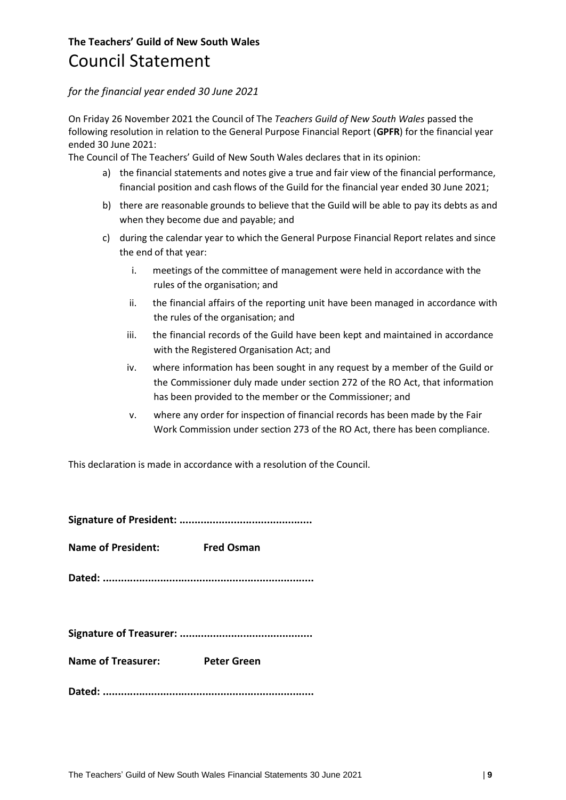# **The Teachers' Guild of New South Wales** Council Statement

# *for the financial year ended 30 June 2021*

On Friday 26 November 2021 the Council of The *Teachers Guild of New South Wales* passed the following resolution in relation to the General Purpose Financial Report (**GPFR**) for the financial year ended 30 June 2021:

The Council of The Teachers' Guild of New South Wales declares that in its opinion:

- a) the financial statements and notes give a true and fair view of the financial performance, financial position and cash flows of the Guild for the financial year ended 30 June 2021;
- b) there are reasonable grounds to believe that the Guild will be able to pay its debts as and when they become due and payable; and
- c) during the calendar year to which the General Purpose Financial Report relates and since the end of that year:
	- i. meetings of the committee of management were held in accordance with the rules of the organisation; and
	- ii. the financial affairs of the reporting unit have been managed in accordance with the rules of the organisation; and
	- iii. the financial records of the Guild have been kept and maintained in accordance with the Registered Organisation Act; and
	- iv. where information has been sought in any request by a member of the Guild or the Commissioner duly made under section 272 of the RO Act, that information has been provided to the member or the Commissioner; and
	- v. where any order for inspection of financial records has been made by the Fair Work Commission under section 273 of the RO Act, there has been compliance.

This declaration is made in accordance with a resolution of the Council.

|--|--|

**Name of President: Fred Osman**

**Dated: ......................................................................**

|--|

**Name of Treasurer: Peter Green**

**Dated: ......................................................................**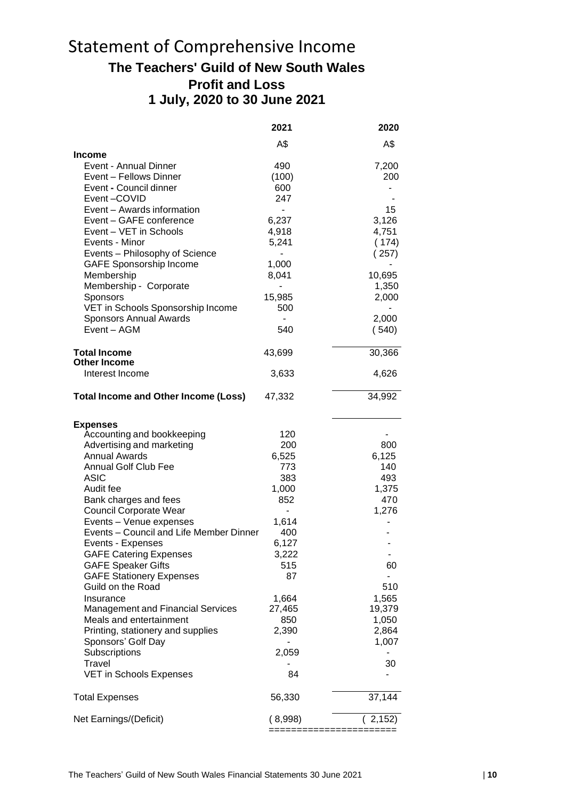# Statement of Comprehensive Income **The Teachers' Guild of New South Wales Profit and Loss 1 July, 2020 to 30 June 2021**

|                                                                     | 2021           | 2020            |
|---------------------------------------------------------------------|----------------|-----------------|
|                                                                     | A\$            | A\$             |
| Income                                                              |                |                 |
| Event - Annual Dinner                                               | 490            | 7,200           |
| Event – Fellows Dinner                                              | (100)          | 200             |
| Event - Council dinner                                              | 600            |                 |
| Event-COVID                                                         | 247            |                 |
| Event - Awards information                                          | ÷,             | 15              |
| Event - GAFE conference                                             | 6,237          | 3,126           |
| Event - VET in Schools                                              | 4,918          | 4,751           |
| Events - Minor                                                      | 5,241          | (174)           |
| Events - Philosophy of Science                                      |                | (257)           |
| <b>GAFE Sponsorship Income</b><br>Membership                        | 1,000<br>8,041 |                 |
| Membership - Corporate                                              |                | 10,695<br>1,350 |
|                                                                     | 15,985         | 2,000           |
| Sponsors<br>VET in Schools Sponsorship Income                       | 500            |                 |
| Sponsors Annual Awards                                              | $\blacksquare$ | 2,000           |
| Event - AGM                                                         | 540            | (540)           |
|                                                                     |                |                 |
| <b>Total Income</b>                                                 | 43,699         | 30,366          |
| <b>Other Income</b>                                                 |                |                 |
| Interest Income                                                     | 3,633          | 4,626           |
| Total Income and Other Income (Loss)                                | 47,332         | 34,992          |
| <b>Expenses</b>                                                     |                |                 |
| Accounting and bookkeeping                                          | 120            |                 |
| Advertising and marketing                                           | 200            | 800             |
| <b>Annual Awards</b>                                                | 6,525          | 6,125           |
| Annual Golf Club Fee                                                | 773            | 140             |
| <b>ASIC</b>                                                         | 383            | 493             |
| Audit fee                                                           | 1,000          | 1,375           |
| Bank charges and fees                                               | 852            | 470             |
| <b>Council Corporate Wear</b>                                       | $\blacksquare$ | 1,276           |
| Events - Venue expenses                                             | 1,614          |                 |
| Events - Council and Life Member Dinner                             | 400            |                 |
| Events - Expenses                                                   | 6,127          |                 |
| <b>GAFE Catering Expenses</b>                                       | 3,222          |                 |
| <b>GAFE Speaker Gifts</b>                                           | 515            | 60              |
| <b>GAFE Stationery Expenses</b>                                     | 87             |                 |
| Guild on the Road                                                   |                | 510             |
| Insurance                                                           | 1,664          | 1,565           |
| <b>Management and Financial Services</b><br>Meals and entertainment | 27,465         | 19,379          |
|                                                                     | 850<br>2,390   | 1,050<br>2,864  |
| Printing, stationery and supplies<br>Sponsors' Golf Day             |                | 1,007           |
| Subscriptions                                                       | 2,059          |                 |
| Travel                                                              |                | 30              |
| <b>VET in Schools Expenses</b>                                      | 84             |                 |
|                                                                     |                |                 |
| <b>Total Expenses</b>                                               | 56,330         | 37,144          |
| Net Earnings/(Deficit)                                              | (8,998)        | (2, 152)        |
|                                                                     |                |                 |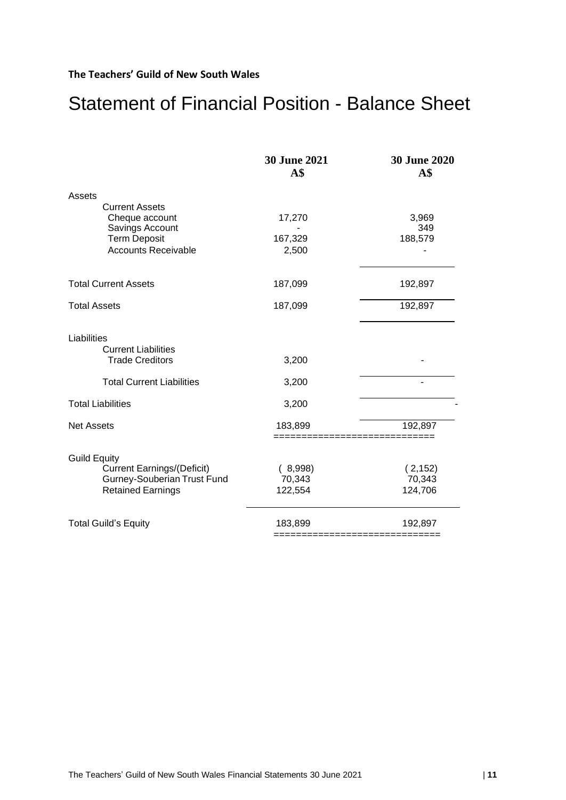# Statement of Financial Position - Balance Sheet

| 17,270  | 3,969                                 |
|---------|---------------------------------------|
|         | 349                                   |
|         | 188,579                               |
|         |                                       |
| 187,099 | 192,897                               |
| 187,099 | 192,897                               |
| 3,200   |                                       |
| 3,200   |                                       |
| 3,200   |                                       |
| 183,899 | 192,897                               |
|         |                                       |
|         | (2, 152)                              |
|         | 70,343                                |
| 122,554 | 124,706                               |
| 183,899 | 192,897                               |
|         | 167,329<br>2,500<br>(8,998)<br>70,343 |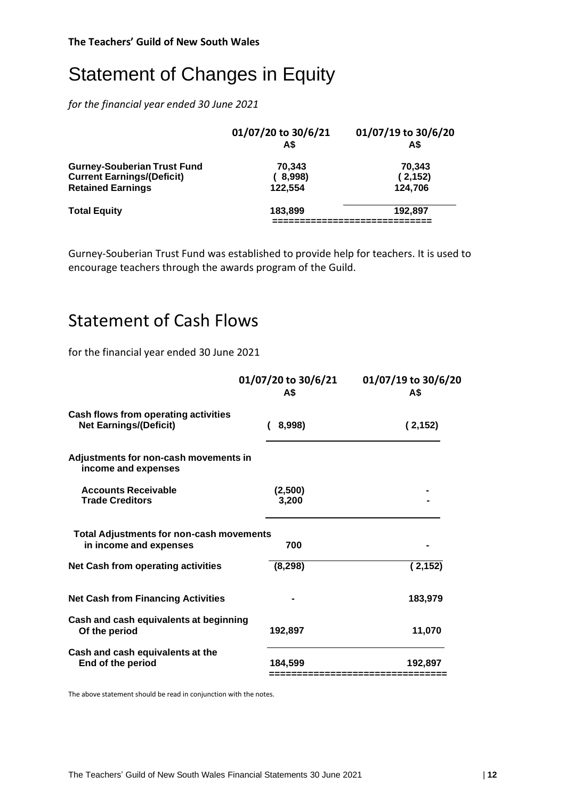# Statement of Changes in Equity

*for the financial year ended 30 June 2021*

|                                    | 01/07/20 to 30/6/21<br>A\$ | 01/07/19 to 30/6/20<br>A\$ |
|------------------------------------|----------------------------|----------------------------|
| <b>Gurney-Souberian Trust Fund</b> | 70.343                     | 70.343                     |
| <b>Current Earnings/(Deficit)</b>  | (8,998)                    | (2, 152)                   |
| <b>Retained Earnings</b>           | 122.554                    | 124,706                    |
| <b>Total Equity</b>                | 183.899                    | 192.897                    |
|                                    |                            |                            |

Gurney-Souberian Trust Fund was established to provide help for teachers. It is used to encourage teachers through the awards program of the Guild.

# Statement of Cash Flows

for the financial year ended 30 June 2021

| A\$                                                    | 01/07/19 to 30/6/20<br>A\$ |
|--------------------------------------------------------|----------------------------|
| Cash flows from operating activities<br>8,998)         | (2, 152)                   |
| Adjustments for non-cash movements in                  |                            |
| (2,500)<br>3,200                                       |                            |
| <b>Total Adjustments for non-cash movements</b><br>700 |                            |
| (8, 298)                                               | (2, 152)                   |
|                                                        | 183,979                    |
| Cash and cash equivalents at beginning<br>192,897      | 11,070                     |
| 184.599                                                | 192,897                    |
|                                                        | 01/07/20 to 30/6/21        |

The above statement should be read in conjunction with the notes.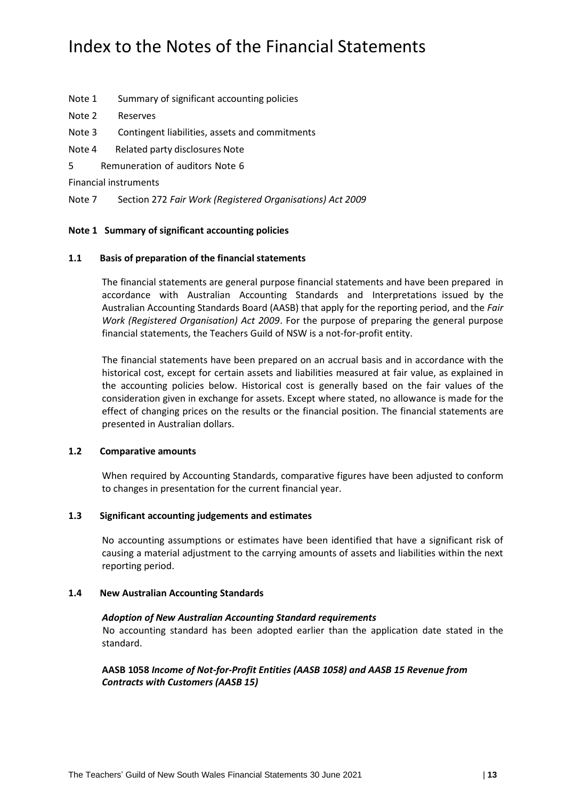# Index to the Notes of the Financial Statements

- Note 1 Summary of significant accounting policies
- Note 2 Reserves
- Note 3 Contingent liabilities, assets and commitments
- Note 4 Related party disclosures Note
- 5 Remuneration of auditors Note 6

Financial instruments

Note 7 Section 272 *Fair Work (Registered Organisations) Act 2009*

#### **Note 1 Summary of significant accounting policies**

#### **1.1 Basis of preparation of the financial statements**

The financial statements are general purpose financial statements and have been prepared in accordance with Australian Accounting Standards and Interpretations issued by the Australian Accounting Standards Board (AASB) that apply for the reporting period, and the *Fair Work (Registered Organisation) Act 2009*. For the purpose of preparing the general purpose financial statements, the Teachers Guild of NSW is a not-for-profit entity.

The financial statements have been prepared on an accrual basis and in accordance with the historical cost, except for certain assets and liabilities measured at fair value, as explained in the accounting policies below. Historical cost is generally based on the fair values of the consideration given in exchange for assets. Except where stated, no allowance is made for the effect of changing prices on the results or the financial position. The financial statements are presented in Australian dollars.

#### **1.2 Comparative amounts**

When required by Accounting Standards, comparative figures have been adjusted to conform to changes in presentation for the current financial year.

# **1.3 Significant accounting judgements and estimates**

No accounting assumptions or estimates have been identified that have a significant risk of causing a material adjustment to the carrying amounts of assets and liabilities within the next reporting period.

#### **1.4 New Australian Accounting Standards**

#### *Adoption of New Australian Accounting Standard requirements*

No accounting standard has been adopted earlier than the application date stated in the standard.

**AASB 1058** *Income of Not-for-Profit Entities (AASB 1058) and AASB 15 Revenue from Contracts with Customers (AASB 15)*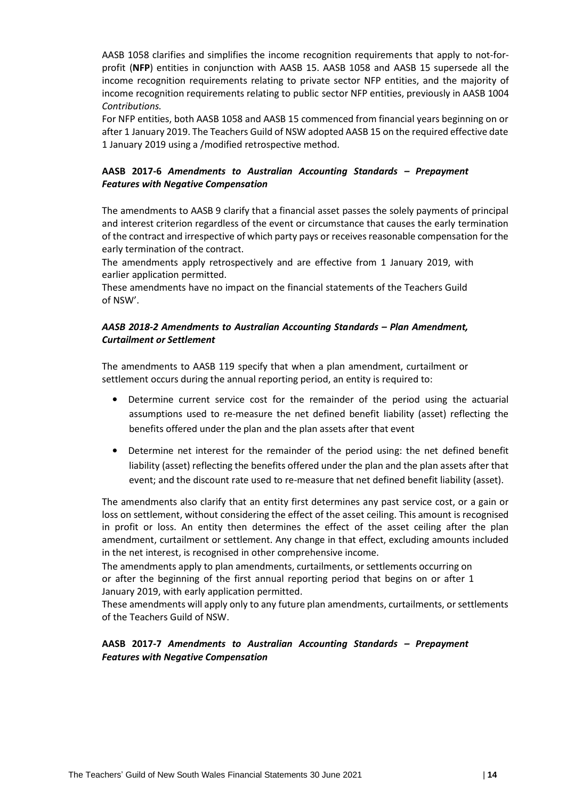AASB 1058 clarifies and simplifies the income recognition requirements that apply to not-forprofit (**NFP**) entities in conjunction with AASB 15. AASB 1058 and AASB 15 supersede all the income recognition requirements relating to private sector NFP entities, and the majority of income recognition requirements relating to public sector NFP entities, previously in AASB 1004 *Contributions.*

For NFP entities, both AASB 1058 and AASB 15 commenced from financial years beginning on or after 1 January 2019. The Teachers Guild of NSW adopted AASB 15 on the required effective date 1 January 2019 using a /modified retrospective method.

# **AASB 2017-6** *Amendments to Australian Accounting Standards – Prepayment Features with Negative Compensation*

The amendments to AASB 9 clarify that a financial asset passes the solely payments of principal and interest criterion regardless of the event or circumstance that causes the early termination of the contract and irrespective of which party pays or receives reasonable compensation for the early termination of the contract.

The amendments apply retrospectively and are effective from 1 January 2019, with earlier application permitted.

These amendments have no impact on the financial statements of the Teachers Guild of NSW'.

# *AASB 2018-2 Amendments to Australian Accounting Standards – Plan Amendment, Curtailment or Settlement*

The amendments to AASB 119 specify that when a plan amendment, curtailment or settlement occurs during the annual reporting period, an entity is required to:

- Determine current service cost for the remainder of the period using the actuarial assumptions used to re-measure the net defined benefit liability (asset) reflecting the benefits offered under the plan and the plan assets after that event
- Determine net interest for the remainder of the period using: the net defined benefit liability (asset) reflecting the benefits offered under the plan and the plan assets after that event; and the discount rate used to re-measure that net defined benefit liability (asset).

The amendments also clarify that an entity first determines any past service cost, or a gain or loss on settlement, without considering the effect of the asset ceiling. This amount is recognised in profit or loss. An entity then determines the effect of the asset ceiling after the plan amendment, curtailment or settlement. Any change in that effect, excluding amounts included in the net interest, is recognised in other comprehensive income.

The amendments apply to plan amendments, curtailments, or settlements occurring on or after the beginning of the first annual reporting period that begins on or after 1 January 2019, with early application permitted.

These amendments will apply only to any future plan amendments, curtailments, or settlements of the Teachers Guild of NSW.

# **AASB 2017-7** *Amendments to Australian Accounting Standards – Prepayment Features with Negative Compensation*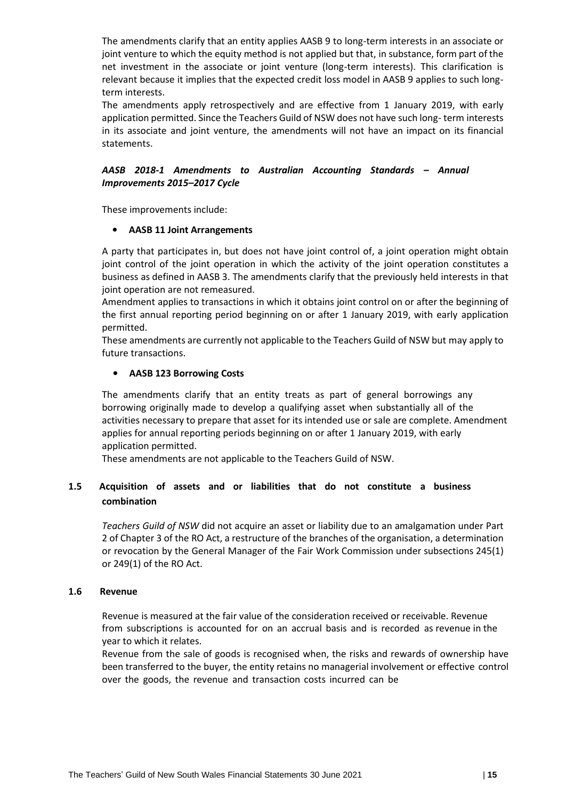The amendments clarify that an entity applies AASB 9 to long-term interests in an associate or joint venture to which the equity method is not applied but that, in substance, form part of the net investment in the associate or joint venture (long-term interests). This clarification is relevant because it implies that the expected credit loss model in AASB 9 applies to such longterm interests.

The amendments apply retrospectively and are effective from 1 January 2019, with early application permitted. Since the Teachers Guild of NSW does not have such long- term interests in its associate and joint venture, the amendments will not have an impact on its financial statements.

# *AASB 2018-1 Amendments to Australian Accounting Standards – Annual Improvements 2015–2017 Cycle*

These improvements include:

# • **AASB 11 Joint Arrangements**

A party that participates in, but does not have joint control of, a joint operation might obtain joint control of the joint operation in which the activity of the joint operation constitutes a business as defined in AASB 3. The amendments clarify that the previously held interests in that joint operation are not remeasured.

Amendment applies to transactions in which it obtains joint control on or after the beginning of the first annual reporting period beginning on or after 1 January 2019, with early application permitted.

These amendments are currently not applicable to the Teachers Guild of NSW but may apply to future transactions.

# • **AASB 123 Borrowing Costs**

The amendments clarify that an entity treats as part of general borrowings any borrowing originally made to develop a qualifying asset when substantially all of the activities necessary to prepare that asset for its intended use or sale are complete. Amendment applies for annual reporting periods beginning on or after 1 January 2019, with early application permitted.

These amendments are not applicable to the Teachers Guild of NSW.

# **1.5 Acquisition of assets and or liabilities that do not constitute a business combination**

*Teachers Guild of NSW* did not acquire an asset or liability due to an amalgamation under Part 2 of Chapter 3 of the RO Act, a restructure of the branches of the organisation, a determination or revocation by the General Manager of the Fair Work Commission under subsections 245(1) or 249(1) of the RO Act.

# **1.6 Revenue**

Revenue is measured at the fair value of the consideration received or receivable. Revenue from subscriptions is accounted for on an accrual basis and is recorded as revenue in the year to which it relates.

Revenue from the sale of goods is recognised when, the risks and rewards of ownership have been transferred to the buyer, the entity retains no managerial involvement or effective control over the goods, the revenue and transaction costs incurred can be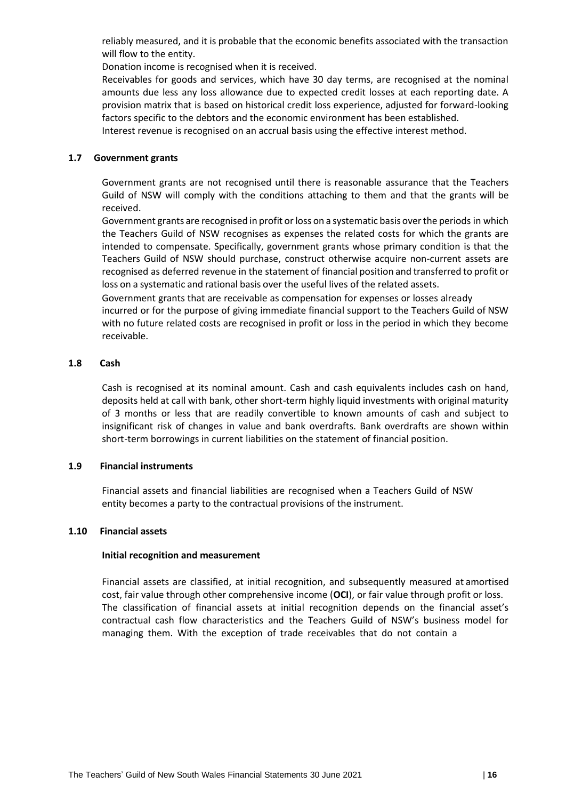reliably measured, and it is probable that the economic benefits associated with the transaction will flow to the entity.

Donation income is recognised when it is received.

Receivables for goods and services, which have 30 day terms, are recognised at the nominal amounts due less any loss allowance due to expected credit losses at each reporting date. A provision matrix that is based on historical credit loss experience, adjusted for forward-looking factors specific to the debtors and the economic environment has been established.

Interest revenue is recognised on an accrual basis using the effective interest method*.*

# **1.7 Government grants**

Government grants are not recognised until there is reasonable assurance that the Teachers Guild of NSW will comply with the conditions attaching to them and that the grants will be received.

Government grants are recognised in profit or loss on a systematic basis overthe periods in which the Teachers Guild of NSW recognises as expenses the related costs for which the grants are intended to compensate. Specifically, government grants whose primary condition is that the Teachers Guild of NSW should purchase, construct otherwise acquire non-current assets are recognised as deferred revenue in the statement of financial position and transferred to profit or loss on a systematic and rational basis over the useful lives of the related assets.

Government grants that are receivable as compensation for expenses or losses already

incurred or for the purpose of giving immediate financial support to the Teachers Guild of NSW with no future related costs are recognised in profit or loss in the period in which they become receivable.

# **1.8 Cash**

Cash is recognised at its nominal amount. Cash and cash equivalents includes cash on hand, deposits held at call with bank, other short-term highly liquid investments with original maturity of 3 months or less that are readily convertible to known amounts of cash and subject to insignificant risk of changes in value and bank overdrafts. Bank overdrafts are shown within short-term borrowings in current liabilities on the statement of financial position.

# **1.9 Financial instruments**

Financial assets and financial liabilities are recognised when a Teachers Guild of NSW entity becomes a party to the contractual provisions of the instrument.

# **1.10 Financial assets**

# **Initial recognition and measurement**

Financial assets are classified, at initial recognition, and subsequently measured at amortised cost, fair value through other comprehensive income (**OCI**), or fair value through profit or loss. The classification of financial assets at initial recognition depends on the financial asset's contractual cash flow characteristics and the Teachers Guild of NSW's business model for managing them. With the exception of trade receivables that do not contain a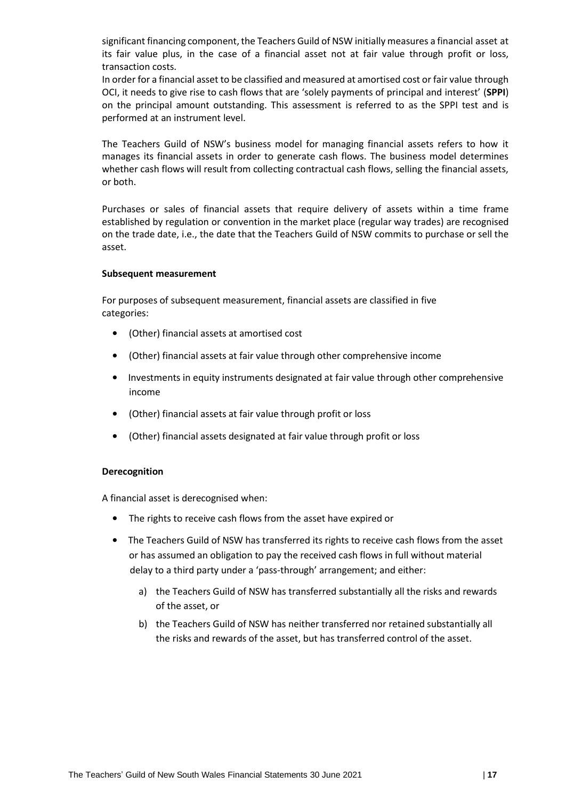significant financing component, the Teachers Guild of NSW initially measures a financial asset at its fair value plus, in the case of a financial asset not at fair value through profit or loss, transaction costs.

In order for a financial asset to be classified and measured at amortised cost or fair value through OCI, it needs to give rise to cash flows that are 'solely payments of principal and interest' (**SPPI**) on the principal amount outstanding. This assessment is referred to as the SPPI test and is performed at an instrument level.

The Teachers Guild of NSW's business model for managing financial assets refers to how it manages its financial assets in order to generate cash flows. The business model determines whether cash flows will result from collecting contractual cash flows, selling the financial assets, or both.

Purchases or sales of financial assets that require delivery of assets within a time frame established by regulation or convention in the market place (regular way trades) are recognised on the trade date, i.e., the date that the Teachers Guild of NSW commits to purchase or sell the asset.

#### **Subsequent measurement**

For purposes of subsequent measurement, financial assets are classified in five categories:

- (Other) financial assets at amortised cost
- (Other) financial assets at fair value through other comprehensive income
- Investments in equity instruments designated at fair value through other comprehensive income
- (Other) financial assets at fair value through profit or loss
- (Other) financial assets designated at fair value through profit or loss

# **Derecognition**

A financial asset is derecognised when:

- The rights to receive cash flows from the asset have expired or
- The Teachers Guild of NSW has transferred its rights to receive cash flows from the asset or has assumed an obligation to pay the received cash flows in full without material delay to a third party under a 'pass-through' arrangement; and either:
	- a) the Teachers Guild of NSW has transferred substantially all the risks and rewards of the asset, or
	- b) the Teachers Guild of NSW has neither transferred nor retained substantially all the risks and rewards of the asset, but has transferred control of the asset.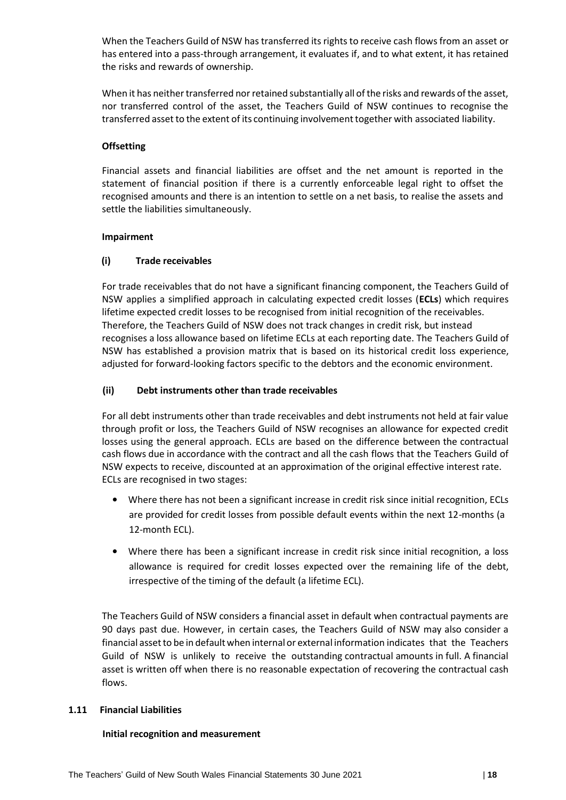When the Teachers Guild of NSW has transferred its rights to receive cash flows from an asset or has entered into a pass-through arrangement, it evaluates if, and to what extent, it has retained the risks and rewards of ownership.

When it has neither transferred nor retained substantially all of the risks and rewards of the asset, nor transferred control of the asset, the Teachers Guild of NSW continues to recognise the transferred asset to the extent of its continuing involvementtogether with associated liability.

# **Offsetting**

Financial assets and financial liabilities are offset and the net amount is reported in the statement of financial position if there is a currently enforceable legal right to offset the recognised amounts and there is an intention to settle on a net basis, to realise the assets and settle the liabilities simultaneously.

# **Impairment**

# **(i) Trade receivables**

For trade receivables that do not have a significant financing component, the Teachers Guild of NSW applies a simplified approach in calculating expected credit losses (**ECLs**) which requires lifetime expected credit losses to be recognised from initial recognition of the receivables. Therefore, the Teachers Guild of NSW does not track changes in credit risk, but instead recognises a loss allowance based on lifetime ECLs at each reporting date. The Teachers Guild of NSW has established a provision matrix that is based on its historical credit loss experience, adjusted for forward-looking factors specific to the debtors and the economic environment.

# **(ii) Debt instruments other than trade receivables**

For all debt instruments other than trade receivables and debt instruments not held at fair value through profit or loss, the Teachers Guild of NSW recognises an allowance for expected credit losses using the general approach. ECLs are based on the difference between the contractual cash flows due in accordance with the contract and all the cash flows that the Teachers Guild of NSW expects to receive, discounted at an approximation of the original effective interest rate. ECLs are recognised in two stages:

- Where there has not been a significant increase in credit risk since initial recognition, ECLs are provided for credit losses from possible default events within the next 12-months (a 12-month ECL).
- Where there has been a significant increase in credit risk since initial recognition, a loss allowance is required for credit losses expected over the remaining life of the debt, irrespective of the timing of the default (a lifetime ECL).

The Teachers Guild of NSW considers a financial asset in default when contractual payments are 90 days past due. However, in certain cases, the Teachers Guild of NSW may also consider a financial assetto be in default when internal or external information indicates that the Teachers Guild of NSW is unlikely to receive the outstanding contractual amounts in full. A financial asset is written off when there is no reasonable expectation of recovering the contractual cash flows.

# **1.11 Financial Liabilities**

# **Initial recognition and measurement**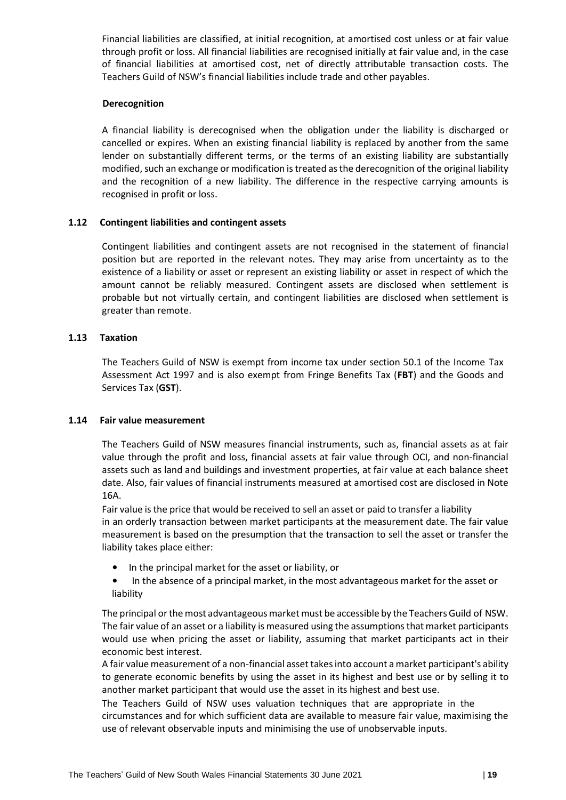Financial liabilities are classified, at initial recognition, at amortised cost unless or at fair value through profit or loss. All financial liabilities are recognised initially at fair value and, in the case of financial liabilities at amortised cost, net of directly attributable transaction costs. The Teachers Guild of NSW's financial liabilities include trade and other payables.

#### **Derecognition**

A financial liability is derecognised when the obligation under the liability is discharged or cancelled or expires. When an existing financial liability is replaced by another from the same lender on substantially different terms, or the terms of an existing liability are substantially modified, such an exchange or modification is treated as the derecognition of the original liability and the recognition of a new liability. The difference in the respective carrying amounts is recognised in profit or loss.

# **1.12 Contingent liabilities and contingent assets**

Contingent liabilities and contingent assets are not recognised in the statement of financial position but are reported in the relevant notes. They may arise from uncertainty as to the existence of a liability or asset or represent an existing liability or asset in respect of which the amount cannot be reliably measured. Contingent assets are disclosed when settlement is probable but not virtually certain, and contingent liabilities are disclosed when settlement is greater than remote.

#### **1.13 Taxation**

The Teachers Guild of NSW is exempt from income tax under section 50.1 of the Income Tax Assessment Act 1997 and is also exempt from Fringe Benefits Tax (**FBT**) and the Goods and Services Tax (**GST**).

#### **1.14 Fair value measurement**

The Teachers Guild of NSW measures financial instruments, such as, financial assets as at fair value through the profit and loss, financial assets at fair value through OCI, and non-financial assets such as land and buildings and investment properties, at fair value at each balance sheet date. Also, fair values of financial instruments measured at amortised cost are disclosed in Note 16A.

Fair value isthe price that would be received to sell an asset or paid to transfer a liability in an orderly transaction between market participants at the measurement date. The fair value measurement is based on the presumption that the transaction to sell the asset or transfer the liability takes place either:

- In the principal market for the asset or liability, or
- In the absence of a principal market, in the most advantageous market for the asset or liability

The principal or the most advantageous market must be accessible by the Teachers Guild of NSW. The fair value of an asset or a liability is measured using the assumptions that market participants would use when pricing the asset or liability, assuming that market participants act in their economic best interest.

A fair value measurement of a non-financial asset takes into account a market participant's ability to generate economic benefits by using the asset in its highest and best use or by selling it to another market participant that would use the asset in its highest and best use.

The Teachers Guild of NSW uses valuation techniques that are appropriate in the circumstances and for which sufficient data are available to measure fair value, maximising the use of relevant observable inputs and minimising the use of unobservable inputs.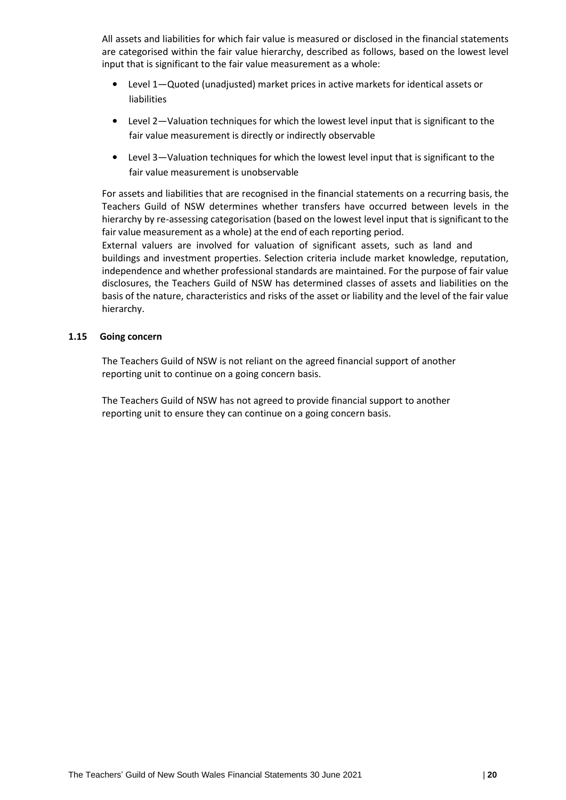All assets and liabilities for which fair value is measured or disclosed in the financial statements are categorised within the fair value hierarchy, described as follows, based on the lowest level input that is significant to the fair value measurement as a whole:

- Level 1—Quoted (unadjusted) market prices in active markets for identical assets or liabilities
- Level 2—Valuation techniques for which the lowest level input that is significant to the fair value measurement is directly or indirectly observable
- Level 3—Valuation techniques for which the lowest level input that is significant to the fair value measurement is unobservable

For assets and liabilities that are recognised in the financial statements on a recurring basis, the Teachers Guild of NSW determines whether transfers have occurred between levels in the hierarchy by re-assessing categorisation (based on the lowest level input that is significant to the fair value measurement as a whole) at the end of each reporting period. External valuers are involved for valuation of significant assets, such as land and

buildings and investment properties. Selection criteria include market knowledge, reputation, independence and whether professional standards are maintained. For the purpose of fair value disclosures, the Teachers Guild of NSW has determined classes of assets and liabilities on the basis of the nature, characteristics and risks of the asset or liability and the level of the fair value hierarchy.

# **1.15 Going concern**

The Teachers Guild of NSW is not reliant on the agreed financial support of another reporting unit to continue on a going concern basis.

The Teachers Guild of NSW has not agreed to provide financial support to another reporting unit to ensure they can continue on a going concern basis.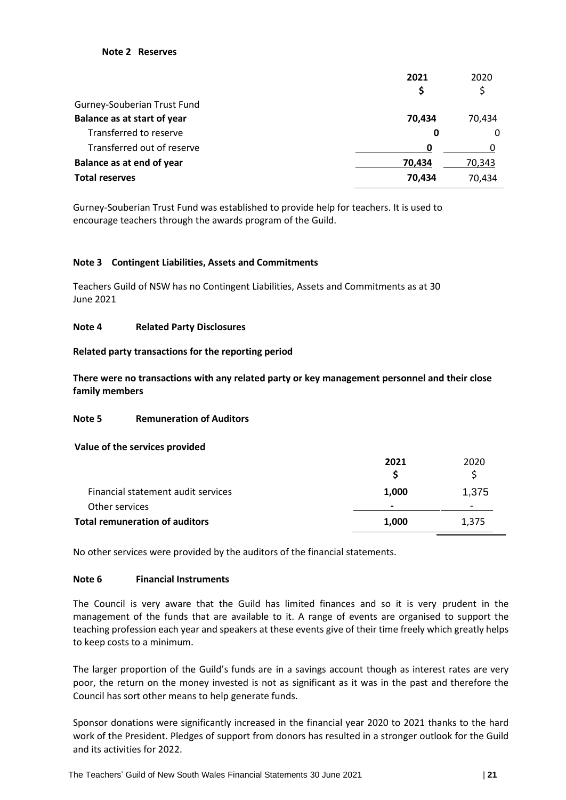#### **Note 2 Reserves**

|                                    | 2021   | 2020   |
|------------------------------------|--------|--------|
|                                    | Ş      | S      |
| Gurney-Souberian Trust Fund        |        |        |
| <b>Balance as at start of year</b> | 70,434 | 70,434 |
| Transferred to reserve             | 0      | 0      |
| Transferred out of reserve         | 0      |        |
| Balance as at end of year          | 70,434 | 70,343 |
| <b>Total reserves</b>              | 70,434 | 70,434 |

Gurney-Souberian Trust Fund was established to provide help for teachers. It is used to encourage teachers through the awards program of the Guild.

#### **Note 3 Contingent Liabilities, Assets and Commitments**

Teachers Guild of NSW has no Contingent Liabilities, Assets and Commitments as at 30 June 2021

#### **Note 4 Related Party Disclosures**

#### **Related party transactions for the reporting period**

**There were no transactions with any related party or key management personnel and their close family members**

# **Note 5 Remuneration of Auditors**

**Value of the services provided**

|                                       | 2021           | 2020                     |
|---------------------------------------|----------------|--------------------------|
|                                       |                |                          |
| Financial statement audit services    | 1,000          | 1,375                    |
| Other services                        | $\blacksquare$ | $\overline{\phantom{0}}$ |
| <b>Total remuneration of auditors</b> | 1,000          | 1,375                    |

No other services were provided by the auditors of the financial statements.

# **Note 6 Financial Instruments**

The Council is very aware that the Guild has limited finances and so it is very prudent in the management of the funds that are available to it. A range of events are organised to support the teaching profession each year and speakers at these events give of their time freely which greatly helps to keep costs to a minimum.

The larger proportion of the Guild's funds are in a savings account though as interest rates are very poor, the return on the money invested is not as significant as it was in the past and therefore the Council has sort other means to help generate funds.

Sponsor donations were significantly increased in the financial year 2020 to 2021 thanks to the hard work of the President. Pledges of support from donors has resulted in a stronger outlook for the Guild and its activities for 2022.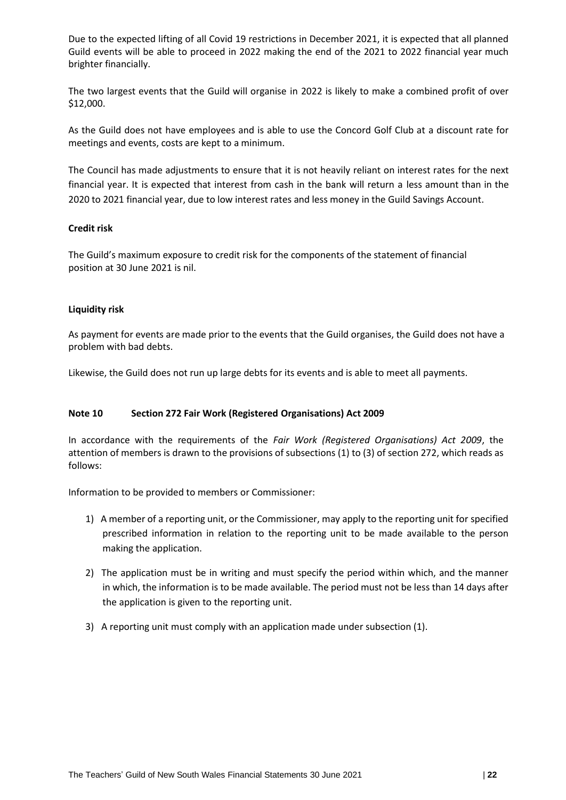Due to the expected lifting of all Covid 19 restrictions in December 2021, it is expected that all planned Guild events will be able to proceed in 2022 making the end of the 2021 to 2022 financial year much brighter financially.

The two largest events that the Guild will organise in 2022 is likely to make a combined profit of over \$12,000.

As the Guild does not have employees and is able to use the Concord Golf Club at a discount rate for meetings and events, costs are kept to a minimum.

The Council has made adjustments to ensure that it is not heavily reliant on interest rates for the next financial year. It is expected that interest from cash in the bank will return a less amount than in the 2020 to 2021 financial year, due to low interest rates and less money in the Guild Savings Account.

# **Credit risk**

The Guild's maximum exposure to credit risk for the components of the statement of financial position at 30 June 2021 is nil.

# **Liquidity risk**

As payment for events are made prior to the events that the Guild organises, the Guild does not have a problem with bad debts.

Likewise, the Guild does not run up large debts for its events and is able to meet all payments.

# **Note 10 Section 272 Fair Work (Registered Organisations) Act 2009**

In accordance with the requirements of the *Fair Work (Registered Organisations) Act 2009*, the attention of members is drawn to the provisions of subsections (1) to (3) of section 272, which reads as follows:

Information to be provided to members or Commissioner:

- 1) A member of a reporting unit, or the Commissioner, may apply to the reporting unit for specified prescribed information in relation to the reporting unit to be made available to the person making the application.
- 2) The application must be in writing and must specify the period within which, and the manner in which, the information is to be made available. The period must not be less than 14 days after the application is given to the reporting unit.
- 3) A reporting unit must comply with an application made under subsection (1).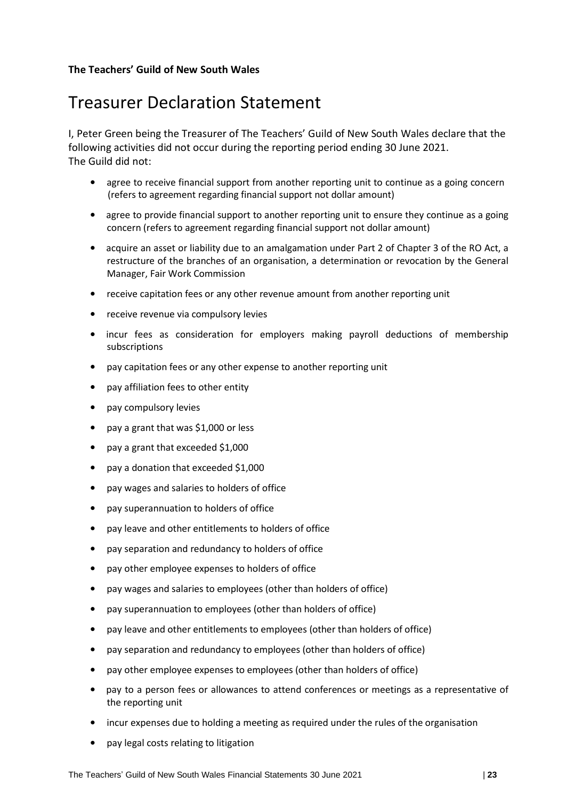# **The Teachers' Guild of New South Wales**

# Treasurer Declaration Statement

I, Peter Green being the Treasurer of The Teachers' Guild of New South Wales declare that the following activities did not occur during the reporting period ending 30 June 2021. The Guild did not:

- agree to receive financial support from another reporting unit to continue as a going concern (refers to agreement regarding financial support not dollar amount)
- agree to provide financial support to another reporting unit to ensure they continue as a going concern (refers to agreement regarding financial support not dollar amount)
- acquire an asset or liability due to an amalgamation under Part 2 of Chapter 3 of the RO Act, a restructure of the branches of an organisation, a determination or revocation by the General Manager, Fair Work Commission
- receive capitation fees or any other revenue amount from another reporting unit
- receive revenue via compulsory levies
- incur fees as consideration for employers making payroll deductions of membership subscriptions
- pay capitation fees or any other expense to another reporting unit
- pay affiliation fees to other entity
- pay compulsory levies
- pay a grant that was \$1,000 or less
- pay a grant that exceeded \$1,000
- pay a donation that exceeded \$1,000
- pay wages and salaries to holders of office
- pay superannuation to holders of office
- pay leave and other entitlements to holders of office
- pay separation and redundancy to holders of office
- pay other employee expenses to holders of office
- pay wages and salaries to employees (other than holders of office)
- pay superannuation to employees (other than holders of office)
- pay leave and other entitlements to employees (other than holders of office)
- pay separation and redundancy to employees (other than holders of office)
- pay other employee expenses to employees (other than holders of office)
- pay to a person fees or allowances to attend conferences or meetings as a representative of the reporting unit
- incur expenses due to holding a meeting as required under the rules of the organisation
- pay legal costs relating to litigation